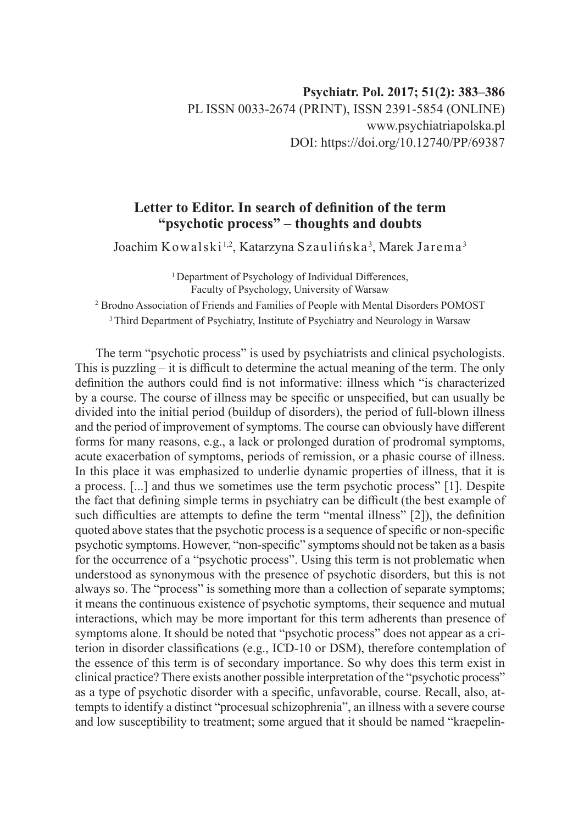## **Letter to Editor. In search of definition of the term "psychotic process" – thoughts and doubts**

Joachim Kowalski <sup>1,2</sup>, Katarzyna Szaulińska <sup>3</sup>, Marek Jarema <sup>3</sup>

<sup>1</sup> Department of Psychology of Individual Differences, Faculty of Psychology, University of Warsaw

2 Brodno Association of Friends and Families of People with Mental Disorders POMOST

<sup>3</sup> Third Department of Psychiatry, Institute of Psychiatry and Neurology in Warsaw

The term "psychotic process" is used by psychiatrists and clinical psychologists. This is puzzling – it is difficult to determine the actual meaning of the term. The only definition the authors could find is not informative: illness which "is characterized by a course. The course of illness may be specific or unspecified, but can usually be divided into the initial period (buildup of disorders), the period of full-blown illness and the period of improvement of symptoms. The course can obviously have different forms for many reasons, e.g., a lack or prolonged duration of prodromal symptoms, acute exacerbation of symptoms, periods of remission, or a phasic course of illness. In this place it was emphasized to underlie dynamic properties of illness, that it is a process. [...] and thus we sometimes use the term psychotic process" [1]. Despite the fact that defining simple terms in psychiatry can be difficult (the best example of such difficulties are attempts to define the term "mental illness" [2]), the definition quoted above states that the psychotic process is a sequence of specific or non-specific psychotic symptoms. However, "non-specific" symptoms should not be taken as a basis for the occurrence of a "psychotic process". Using this term is not problematic when understood as synonymous with the presence of psychotic disorders, but this is not always so. The "process" is something more than a collection of separate symptoms; it means the continuous existence of psychotic symptoms, their sequence and mutual interactions, which may be more important for this term adherents than presence of symptoms alone. It should be noted that "psychotic process" does not appear as a criterion in disorder classifications (e.g., ICD-10 or DSM), therefore contemplation of the essence of this term is of secondary importance. So why does this term exist in clinical practice? There exists another possible interpretation of the "psychotic process" as a type of psychotic disorder with a specific, unfavorable, course. Recall, also, attempts to identify a distinct "procesual schizophrenia", an illness with a severe course and low susceptibility to treatment; some argued that it should be named "kraepelin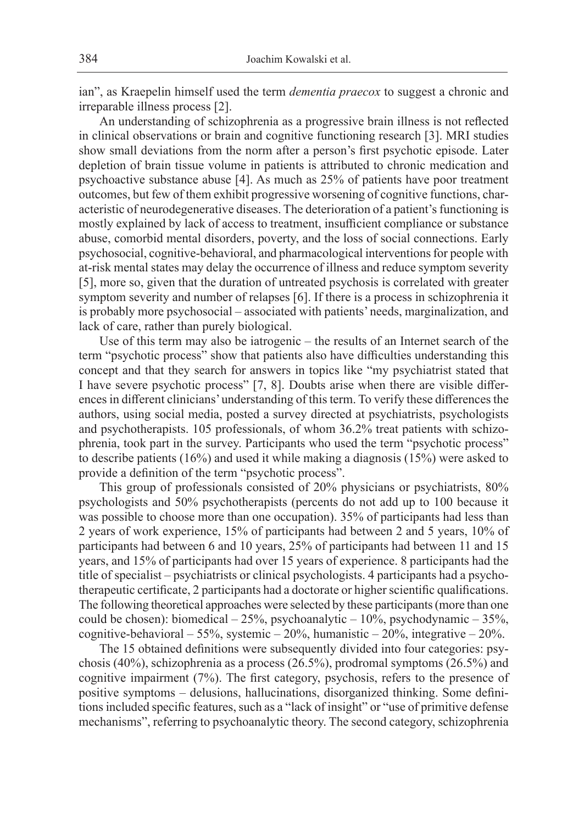ian", as Kraepelin himself used the term *dementia praecox* to suggest a chronic and irreparable illness process [2].

An understanding of schizophrenia as a progressive brain illness is not reflected in clinical observations or brain and cognitive functioning research [3]. MRI studies show small deviations from the norm after a person's first psychotic episode. Later depletion of brain tissue volume in patients is attributed to chronic medication and psychoactive substance abuse [4]. As much as 25% of patients have poor treatment outcomes, but few of them exhibit progressive worsening of cognitive functions, characteristic of neurodegenerative diseases. The deterioration of a patient's functioning is mostly explained by lack of access to treatment, insufficient compliance or substance abuse, comorbid mental disorders, poverty, and the loss of social connections. Early psychosocial, cognitive-behavioral, and pharmacological interventions for people with at-risk mental states may delay the occurrence of illness and reduce symptom severity [5], more so, given that the duration of untreated psychosis is correlated with greater symptom severity and number of relapses [6]. If there is a process in schizophrenia it is probably more psychosocial – associated with patients' needs, marginalization, and lack of care, rather than purely biological.

Use of this term may also be iatrogenic – the results of an Internet search of the term "psychotic process" show that patients also have difficulties understanding this concept and that they search for answers in topics like "my psychiatrist stated that I have severe psychotic process" [7, 8]. Doubts arise when there are visible differences in different clinicians' understanding of this term. To verify these differences the authors, using social media, posted a survey directed at psychiatrists, psychologists and psychotherapists. 105 professionals, of whom 36.2% treat patients with schizophrenia, took part in the survey. Participants who used the term "psychotic process" to describe patients (16%) and used it while making a diagnosis (15%) were asked to provide a definition of the term "psychotic process".

This group of professionals consisted of 20% physicians or psychiatrists, 80% psychologists and 50% psychotherapists (percents do not add up to 100 because it was possible to choose more than one occupation). 35% of participants had less than 2 years of work experience, 15% of participants had between 2 and 5 years, 10% of participants had between 6 and 10 years, 25% of participants had between 11 and 15 years, and 15% of participants had over 15 years of experience. 8 participants had the title of specialist – psychiatrists or clinical psychologists. 4 participants had a psychotherapeutic certificate, 2 participants had a doctorate or higher scientific qualifications. The following theoretical approaches were selected by these participants (more than one could be chosen): biomedical – 25%, psychoanalytic – 10%, psychodynamic – 35%, cognitive-behavioral – 55%, systemic – 20%, humanistic – 20%, integrative – 20%.

The 15 obtained definitions were subsequently divided into four categories: psychosis (40%), schizophrenia as a process (26.5%), prodromal symptoms (26.5%) and cognitive impairment (7%). The first category, psychosis, refers to the presence of positive symptoms – delusions, hallucinations, disorganized thinking. Some definitions included specific features, such as a "lack of insight" or "use of primitive defense mechanisms", referring to psychoanalytic theory. The second category, schizophrenia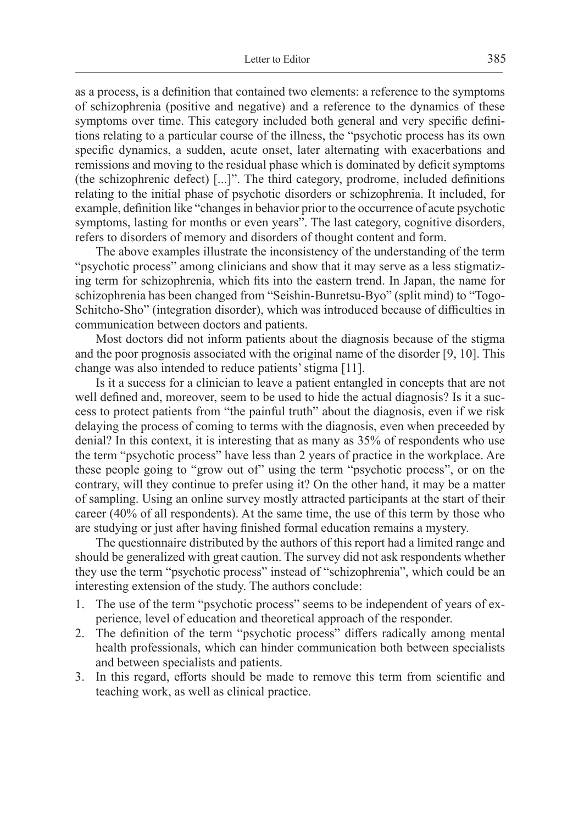as a process, is a definition that contained two elements: a reference to the symptoms of schizophrenia (positive and negative) and a reference to the dynamics of these symptoms over time. This category included both general and very specific definitions relating to a particular course of the illness, the "psychotic process has its own specific dynamics, a sudden, acute onset, later alternating with exacerbations and remissions and moving to the residual phase which is dominated by deficit symptoms (the schizophrenic defect) [...]". The third category, prodrome, included definitions relating to the initial phase of psychotic disorders or schizophrenia. It included, for example, definition like "changes in behavior prior to the occurrence of acute psychotic symptoms, lasting for months or even years". The last category, cognitive disorders, refers to disorders of memory and disorders of thought content and form.

The above examples illustrate the inconsistency of the understanding of the term "psychotic process" among clinicians and show that it may serve as a less stigmatizing term for schizophrenia, which fits into the eastern trend. In Japan, the name for schizophrenia has been changed from "Seishin-Bunretsu-Byo" (split mind) to "Togo-Schitcho-Sho" (integration disorder), which was introduced because of difficulties in communication between doctors and patients.

Most doctors did not inform patients about the diagnosis because of the stigma and the poor prognosis associated with the original name of the disorder [9, 10]. This change was also intended to reduce patients' stigma [11].

Is it a success for a clinician to leave a patient entangled in concepts that are not well defined and, moreover, seem to be used to hide the actual diagnosis? Is it a success to protect patients from "the painful truth" about the diagnosis, even if we risk delaying the process of coming to terms with the diagnosis, even when preceeded by denial? In this context, it is interesting that as many as 35% of respondents who use the term "psychotic process" have less than 2 years of practice in the workplace. Are these people going to "grow out of" using the term "psychotic process", or on the contrary, will they continue to prefer using it? On the other hand, it may be a matter of sampling. Using an online survey mostly attracted participants at the start of their career (40% of all respondents). At the same time, the use of this term by those who are studying or just after having finished formal education remains a mystery.

The questionnaire distributed by the authors of this report had a limited range and should be generalized with great caution. The survey did not ask respondents whether they use the term "psychotic process" instead of "schizophrenia", which could be an interesting extension of the study. The authors conclude:

- 1. The use of the term "psychotic process" seems to be independent of years of experience, level of education and theoretical approach of the responder.
- 2. The definition of the term "psychotic process" differs radically among mental health professionals, which can hinder communication both between specialists and between specialists and patients.
- 3. In this regard, efforts should be made to remove this term from scientific and teaching work, as well as clinical practice.